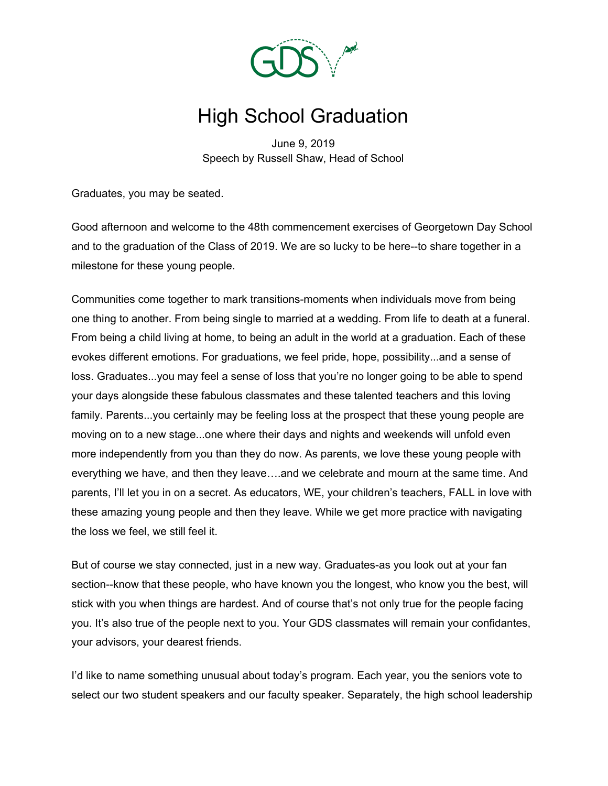

# High School Graduation

June 9, 2019 Speech by Russell Shaw, Head of School

Graduates, you may be seated.

Good afternoon and welcome to the 48th commencement exercises of Georgetown Day School and to the graduation of the Class of 2019. We are so lucky to be here--to share together in a milestone for these young people.

Communities come together to mark transitions-moments when individuals move from being one thing to another. From being single to married at a wedding. From life to death at a funeral. From being a child living at home, to being an adult in the world at a graduation. Each of these evokes different emotions. For graduations, we feel pride, hope, possibility...and a sense of loss. Graduates...you may feel a sense of loss that you're no longer going to be able to spend your days alongside these fabulous classmates and these talented teachers and this loving family. Parents...you certainly may be feeling loss at the prospect that these young people are moving on to a new stage...one where their days and nights and weekends will unfold even more independently from you than they do now. As parents, we love these young people with everything we have, and then they leave….and we celebrate and mourn at the same time. And parents, I'll let you in on a secret. As educators, WE, your children's teachers, FALL in love with these amazing young people and then they leave. While we get more practice with navigating the loss we feel, we still feel it.

But of course we stay connected, just in a new way. Graduates-as you look out at your fan section--know that these people, who have known you the longest, who know you the best, will stick with you when things are hardest. And of course that's not only true for the people facing you. It's also true of the people next to you. Your GDS classmates will remain your confidantes, your advisors, your dearest friends.

I'd like to name something unusual about today's program. Each year, you the seniors vote to select our two student speakers and our faculty speaker. Separately, the high school leadership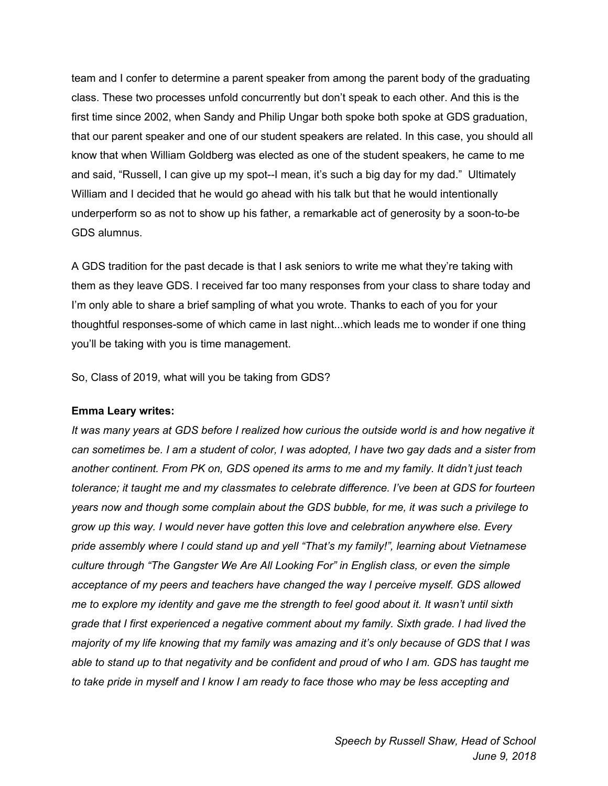team and I confer to determine a parent speaker from among the parent body of the graduating class. These two processes unfold concurrently but don't speak to each other. And this is the first time since 2002, when Sandy and Philip Ungar both spoke both spoke at GDS graduation, that our parent speaker and one of our student speakers are related. In this case, you should all know that when William Goldberg was elected as one of the student speakers, he came to me and said, "Russell, I can give up my spot--I mean, it's such a big day for my dad." Ultimately William and I decided that he would go ahead with his talk but that he would intentionally underperform so as not to show up his father, a remarkable act of generosity by a soon-to-be GDS alumnus.

A GDS tradition for the past decade is that I ask seniors to write me what they're taking with them as they leave GDS. I received far too many responses from your class to share today and I'm only able to share a brief sampling of what you wrote. Thanks to each of you for your thoughtful responses-some of which came in last night...which leads me to wonder if one thing you'll be taking with you is time management.

So, Class of 2019, what will you be taking from GDS?

### **Emma Leary writes:**

It was many years at GDS before I realized how curious the outside world is and how negative it can sometimes be. I am a student of color, I was adopted, I have two gay dads and a sister from *another continent. From PK on, GDS opened its arms to me and my family. It didn't just teach tolerance; it taught me and my classmates to celebrate difference. I've been at GDS for fourteen years now and though some complain about the GDS bubble, for me, it was such a privilege to grow up this way. I would never have gotten this love and celebration anywhere else. Every pride assembly where I could stand up and yell "That's my family!", learning about Vietnamese culture through "The Gangster We Are All Looking For" in English class, or even the simple acceptance of my peers and teachers have changed the way I perceive myself. GDS allowed* me to explore my identity and gave me the strength to feel good about it. It wasn't until sixth *grade that I first experienced a negative comment about my family. Sixth grade. I had lived the* majority of my life knowing that my family was amazing and it's only because of GDS that I was able to stand up to that negativity and be confident and proud of who I am. GDS has taught me to take pride in myself and I know I am ready to face those who may be less accepting and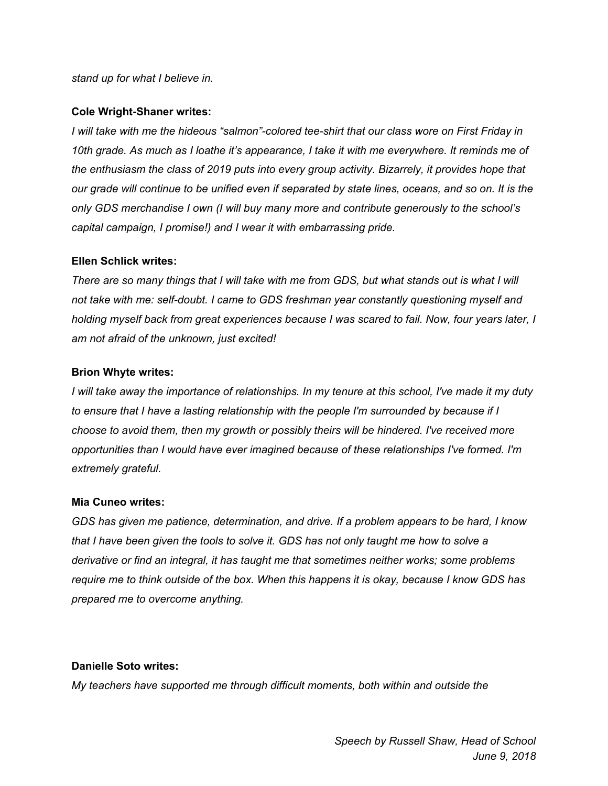#### *stand up for what I believe in.*

#### **Cole Wright-Shaner writes:**

*I will take with me the hideous "salmon"-colored tee-shirt that our class wore on First Friday in* 10th grade. As much as I loathe it's appearance, I take it with me everywhere. It reminds me of *the enthusiasm the class of 2019 puts into every group activity. Bizarrely, it provides hope that* our grade will continue to be unified even if separated by state lines, oceans, and so on. It is the *only GDS merchandise I own (I will buy many more and contribute generously to the school's capital campaign, I promise!) and I wear it with embarrassing pride.*

#### **Ellen Schlick writes:**

There are so many things that I will take with me from GDS, but what stands out is what I will *not take with me: self-doubt. I came to GDS freshman year constantly questioning myself and holding myself back from great experiences because I was scared to fail. Now, four years later, I am not afraid of the unknown, just excited!*

#### **Brion Whyte writes:**

I will take away the importance of relationships. In my tenure at this school, I've made it my duty *to ensure that I have a lasting relationship with the people I'm surrounded by because if I choose to avoid them, then my growth or possibly theirs will be hindered. I've received more opportunities than I would have ever imagined because of these relationships I've formed. I'm extremely grateful.*

#### **Mia Cuneo writes:**

*GDS has given me patience, determination, and drive. If a problem appears to be hard, I know* that I have been given the tools to solve it. GDS has not only taught me how to solve a *derivative or find an integral, it has taught me that sometimes neither works; some problems* require me to think outside of the box. When this happens it is okay, because I know GDS has *prepared me to overcome anything.*

### **Danielle Soto writes:**

*My teachers have supported me through difficult moments, both within and outside the*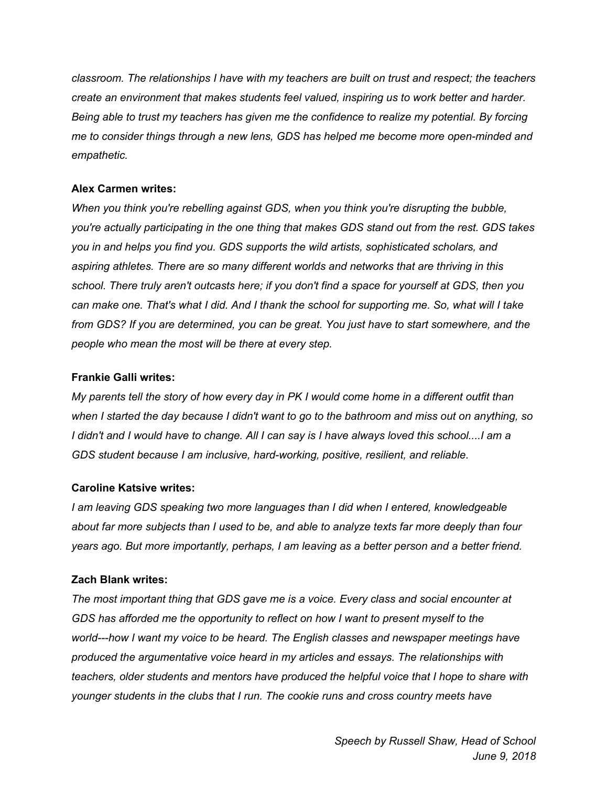*classroom. The relationships I have with my teachers are built on trust and respect; the teachers create an environment that makes students feel valued, inspiring us to work better and harder. Being able to trust my teachers has given me the confidence to realize my potential. By forcing me to consider things through a new lens, GDS has helped me become more open-minded and empathetic.*

## **Alex Carmen writes:**

*When you think you're rebelling against GDS, when you think you're disrupting the bubble, you're actually participating in the one thing that makes GDS stand out from the rest. GDS takes you in and helps you find you. GDS supports the wild artists, sophisticated scholars, and aspiring athletes. There are so many different worlds and networks that are thriving in this school. There truly aren't outcasts here; if you don't find a space for yourself at GDS, then you* can make one. That's what I did. And I thank the school for supporting me. So, what will I take *from GDS? If you are determined, you can be great. You just have to start somewhere, and the people who mean the most will be there at every step.*

## **Frankie Galli writes:**

My parents tell the story of how every day in PK I would come home in a different outfit than when I started the day because I didn't want to go to the bathroom and miss out on anything, so I didn't and I would have to change. All I can say is I have always loved this school....I am a *GDS student because I am inclusive, hard-working, positive, resilient, and reliable.*

## **Caroline Katsive writes:**

*I am leaving GDS speaking two more languages than I did when I entered, knowledgeable* about far more subjects than I used to be, and able to analyze texts far more deeply than four *years ago. But more importantly, perhaps, I am leaving as a better person and a better friend.*

## **Zach Blank writes:**

*The most important thing that GDS gave me is a voice. Every class and social encounter at GDS has afforded me the opportunity to reflect on how I want to present myself to the world---how I want my voice to be heard. The English classes and newspaper meetings have produced the argumentative voice heard in my articles and essays. The relationships with teachers, older students and mentors have produced the helpful voice that I hope to share with younger students in the clubs that I run. The cookie runs and cross country meets have*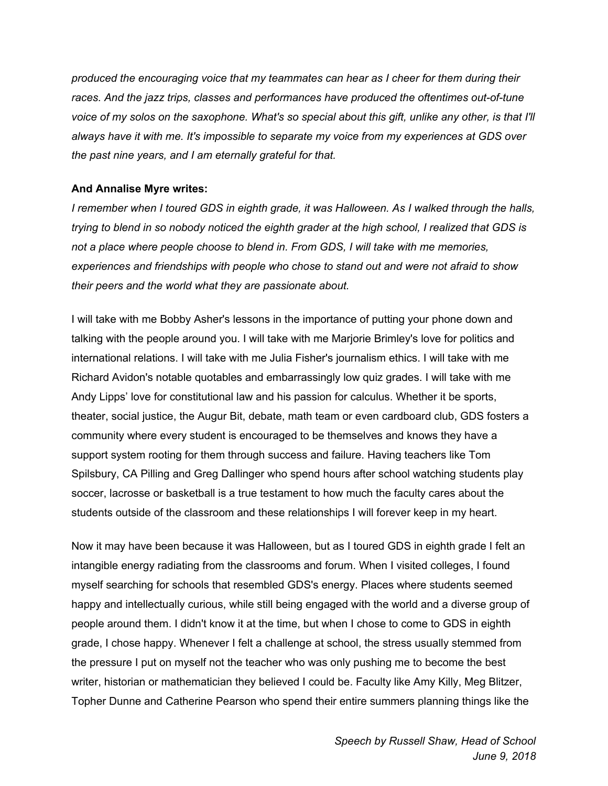*produced the encouraging voice that my teammates can hear as I cheer for them during their races. And the jazz trips, classes and performances have produced the oftentimes out-of-tune* voice of my solos on the saxophone. What's so special about this gift, unlike any other, is that I'll *always have it with me. It's impossible to separate my voice from my experiences at GDS over the past nine years, and I am eternally grateful for that.*

## **And Annalise Myre writes:**

*I remember when I toured GDS in eighth grade, it was Halloween. As I walked through the halls,* trying to blend in so nobody noticed the eighth grader at the high school, I realized that GDS is *not a place where people choose to blend in. From GDS, I will take with me memories, experiences and friendships with people who chose to stand out and were not afraid to show their peers and the world what they are passionate about.*

I will take with me Bobby Asher's lessons in the importance of putting your phone down and talking with the people around you. I will take with me Marjorie Brimley's love for politics and international relations. I will take with me Julia Fisher's journalism ethics. I will take with me Richard Avidon's notable quotables and embarrassingly low quiz grades. I will take with me Andy Lipps' love for constitutional law and his passion for calculus. Whether it be sports, theater, social justice, the Augur Bit, debate, math team or even cardboard club, GDS fosters a community where every student is encouraged to be themselves and knows they have a support system rooting for them through success and failure. Having teachers like Tom Spilsbury, CA Pilling and Greg Dallinger who spend hours after school watching students play soccer, lacrosse or basketball is a true testament to how much the faculty cares about the students outside of the classroom and these relationships I will forever keep in my heart.

Now it may have been because it was Halloween, but as I toured GDS in eighth grade I felt an intangible energy radiating from the classrooms and forum. When I visited colleges, I found myself searching for schools that resembled GDS's energy. Places where students seemed happy and intellectually curious, while still being engaged with the world and a diverse group of people around them. I didn't know it at the time, but when I chose to come to GDS in eighth grade, I chose happy. Whenever I felt a challenge at school, the stress usually stemmed from the pressure I put on myself not the teacher who was only pushing me to become the best writer, historian or mathematician they believed I could be. Faculty like Amy Killy, Meg Blitzer, Topher Dunne and Catherine Pearson who spend their entire summers planning things like the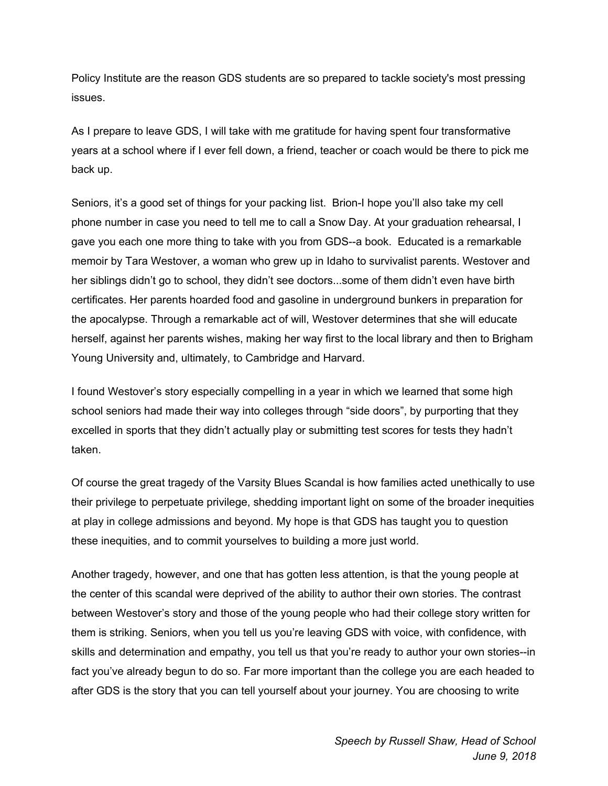Policy Institute are the reason GDS students are so prepared to tackle society's most pressing issues.

As I prepare to leave GDS, I will take with me gratitude for having spent four transformative years at a school where if I ever fell down, a friend, teacher or coach would be there to pick me back up.

Seniors, it's a good set of things for your packing list. Brion-I hope you'll also take my cell phone number in case you need to tell me to call a Snow Day. At your graduation rehearsal, I gave you each one more thing to take with you from GDS--a book. Educated is a remarkable memoir by Tara Westover, a woman who grew up in Idaho to survivalist parents. Westover and her siblings didn't go to school, they didn't see doctors...some of them didn't even have birth certificates. Her parents hoarded food and gasoline in underground bunkers in preparation for the apocalypse. Through a remarkable act of will, Westover determines that she will educate herself, against her parents wishes, making her way first to the local library and then to Brigham Young University and, ultimately, to Cambridge and Harvard.

I found Westover's story especially compelling in a year in which we learned that some high school seniors had made their way into colleges through "side doors", by purporting that they excelled in sports that they didn't actually play or submitting test scores for tests they hadn't taken.

Of course the great tragedy of the Varsity Blues Scandal is how families acted unethically to use their privilege to perpetuate privilege, shedding important light on some of the broader inequities at play in college admissions and beyond. My hope is that GDS has taught you to question these inequities, and to commit yourselves to building a more just world.

Another tragedy, however, and one that has gotten less attention, is that the young people at the center of this scandal were deprived of the ability to author their own stories. The contrast between Westover's story and those of the young people who had their college story written for them is striking. Seniors, when you tell us you're leaving GDS with voice, with confidence, with skills and determination and empathy, you tell us that you're ready to author your own stories--in fact you've already begun to do so. Far more important than the college you are each headed to after GDS is the story that you can tell yourself about your journey. You are choosing to write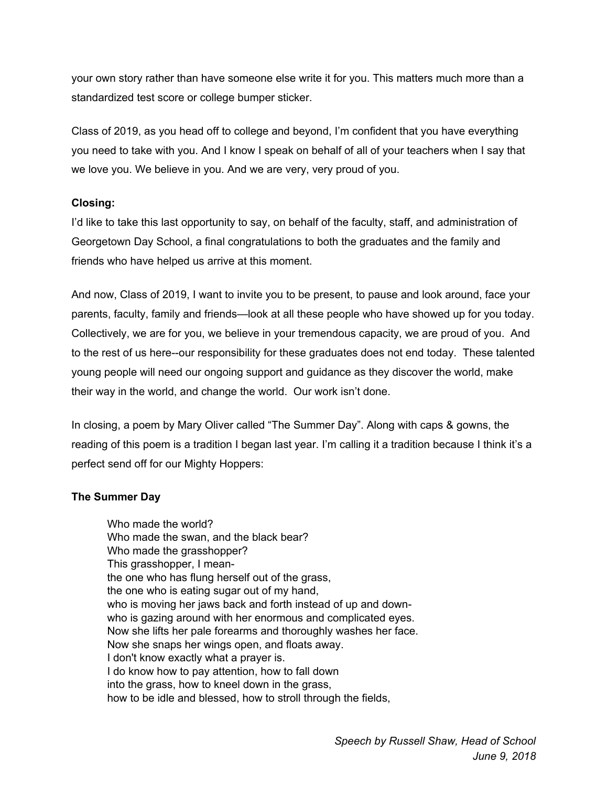your own story rather than have someone else write it for you. This matters much more than a standardized test score or college bumper sticker.

Class of 2019, as you head off to college and beyond, I'm confident that you have everything you need to take with you. And I know I speak on behalf of all of your teachers when I say that we love you. We believe in you. And we are very, very proud of you.

## **Closing:**

I'd like to take this last opportunity to say, on behalf of the faculty, staff, and administration of Georgetown Day School, a final congratulations to both the graduates and the family and friends who have helped us arrive at this moment.

And now, Class of 2019, I want to invite you to be present, to pause and look around, face your parents, faculty, family and friends—look at all these people who have showed up for you today. Collectively, we are for you, we believe in your tremendous capacity, we are proud of you. And to the rest of us here--our responsibility for these graduates does not end today. These talented young people will need our ongoing support and guidance as they discover the world, make their way in the world, and change the world. Our work isn't done.

In closing, a poem by Mary Oliver called "The Summer Day". Along with caps & gowns, the reading of this poem is a tradition I began last year. I'm calling it a tradition because I think it's a perfect send off for our Mighty Hoppers:

## **The Summer Day**

Who made the world? Who made the swan, and the black bear? Who made the grasshopper? This grasshopper, I meanthe one who has flung herself out of the grass, the one who is eating sugar out of my hand, who is moving her jaws back and forth instead of up and downwho is gazing around with her enormous and complicated eyes. Now she lifts her pale forearms and thoroughly washes her face. Now she snaps her wings open, and floats away. I don't know exactly what a prayer is. I do know how to pay attention, how to fall down into the grass, how to kneel down in the grass, how to be idle and blessed, how to stroll through the fields,